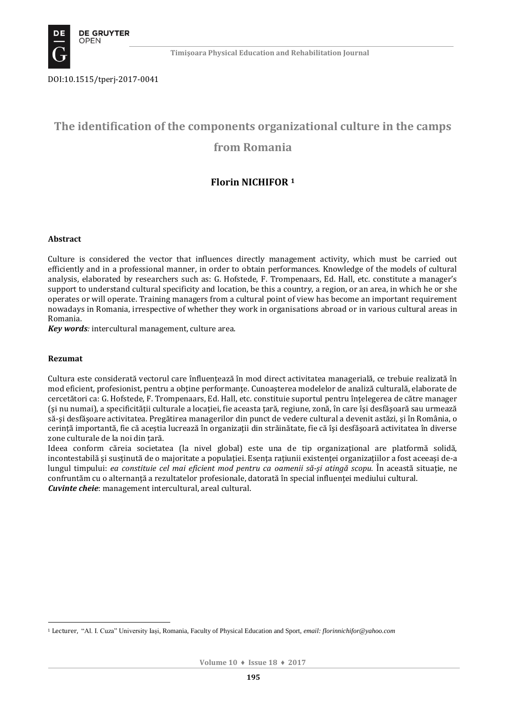

DOI:10.1515/tperj-2017-0041

# **The identification of the components organizational culture in the camps**

# **from Romania**

# **Florin NICHIFOR <sup>1</sup>**

### **Abstract**

Culture is considered the vector that influences directly management activity, which must be carried out efficiently and in a professional manner, in order to obtain performances. Knowledge of the models of cultural analysis, elaborated by researchers such as: G. Hofstede, F. Trompenaars, Ed. Hall, etc. constitute a manager's support to understand cultural specificity and location, be this a country, a region, or an area, in which he or she operates or will operate. Training managers from a cultural point of view has become an important requirement nowadays in Romania, irrespective of whether they work in organisations abroad or in various cultural areas in Romania.

*Key words:* intercultural management, culture area.

### **Rezumat**

Cultura este considerată vectorul care înfluentează în mod direct activitatea managerială, ce trebuie realizată în mod eficient, profesionist, pentru a obține performanțe. Cunoașterea modelelor de analiză culturală, elaborate de cercetători ca: G. Hofstede, F. Trompenaars, Ed. Hall, etc. constituie suportul pentru înţelegerea de către manager (şi nu numai), a specificităţii culturale a locaţiei, fie aceasta ţară, regiune, zonă, în care îşi desfăşoară sau urmează să-şi desfăşoare activitatea. Pregătirea managerilor din punct de vedere cultural a devenit astăzi, şi în România, o cerinţă importantă, fie că aceştia lucrează în organizaţii din străinătate, fie că îşi desfăşoară activitatea în diverse zone culturale de la noi din ţară.

Ideea conform căreia societatea (la nivel global) este una de tip organizaţional are platformă solidă, incontestabilă și susținută de o majoritate a populației. Esența rațiunii existenței organizațiilor a fost aceeași de-a lungul timpului: *ea constituie cel mai eficient mod pentru ca oamenii să-şi atingă scopu.* În această situaţie, ne confruntăm cu o alternanţă a rezultatelor profesionale, datorată în special influenţei mediului cultural. *Cuvinte cheie*: management intercultural, areal cultural.

<sup>1</sup> <sup>1</sup> Lecturer, "Al. I. Cuza" University Iași, Romania, Faculty of Physical Education and Sport, *email[: florinnichifor@yahoo.com](mailto:florinnichifor@yahoo.com)*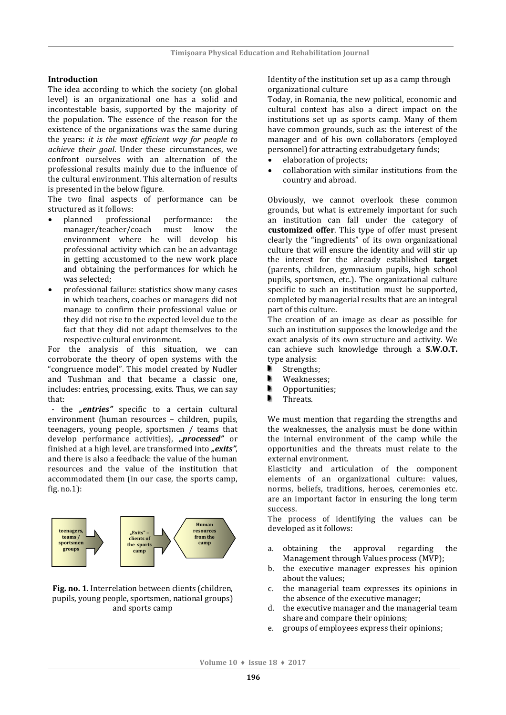### **Introduction**

The idea according to which the society (on global level) is an organizational one has a solid and incontestable basis, supported by the majority of the population. The essence of the reason for the existence of the organizations was the same during the years: *it is the most efficient way for people to achieve their goal*. Under these circumstances, we confront ourselves with an alternation of the professional results mainly due to the influence of the cultural environment. This alternation of results is presented in the below figure.

The two final aspects of performance can be structured as it follows:

- planned professional performance: the manager/teacher/coach must know the environment where he will develop his professional activity which can be an advantage in getting accustomed to the new work place and obtaining the performances for which he was selected;
- professional failure: statistics show many cases in which teachers, coaches or managers did not manage to confirm their professional value or they did not rise to the expected level due to the fact that they did not adapt themselves to the respective cultural environment.

For the analysis of this situation, we can corroborate the theory of open systems with the "congruence model". This model created by Nudler and Tushman and that became a classic one, includes: entries, processing, exits. Thus, we can say that:

- the "entries" specific to a certain cultural environment (human resources – children, pupils, teenagers, young people, sportsmen / teams that develop performance activities), "processed" or finished at a high level, are transformed into **"exits"**, and there is also a feedback: the value of the human resources and the value of the institution that accommodated them (in our case, the sports camp, fig. no.1):



**Fig. no. 1**. Interrelation between clients (children, pupils, young people, sportsmen, national groups) and sports camp

Identity of the institution set up as a camp through organizational culture

Today, in Romania, the new political, economic and cultural context has also a direct impact on the institutions set up as sports camp. Many of them have common grounds, such as: the interest of the manager and of his own collaborators (employed personnel) for attracting extrabudgetary funds;

- elaboration of projects;
- collaboration with similar institutions from the country and abroad.

Obviously, we cannot overlook these common grounds, but what is extremely important for such an institution can fall under the category of **customized offer**. This type of offer must present clearly the "ingredients" of its own organizational culture that will ensure the identity and will stir up the interest for the already established **target** (parents, children, gymnasium pupils, high school pupils, sportsmen, etc.). The organizational culture specific to such an institution must be supported, completed by managerial results that are an integral part of this culture.

The creation of an image as clear as possible for such an institution supposes the knowledge and the exact analysis of its own structure and activity. We can achieve such knowledge through a **S.W.O.T.**  type analysis:

- Strengths;
- ٠ Weaknesses;
- Opportunities;
- **Threats**

We must mention that regarding the strengths and the weaknesses, the analysis must be done within the internal environment of the camp while the opportunities and the threats must relate to the external environment.

Elasticity and articulation of the component elements of an organizational culture: values, norms, beliefs, traditions, heroes, ceremonies etc. are an important factor in ensuring the long term success.

The process of identifying the values can be developed as it follows:

- a. obtaining the approval regarding the Management through Values process (MVP);
- b. the executive manager expresses his opinion about the values;
- c. the managerial team expresses its opinions in the absence of the executive manager;
- d. the executive manager and the managerial team share and compare their opinions;
- e. groups of employees express their opinions;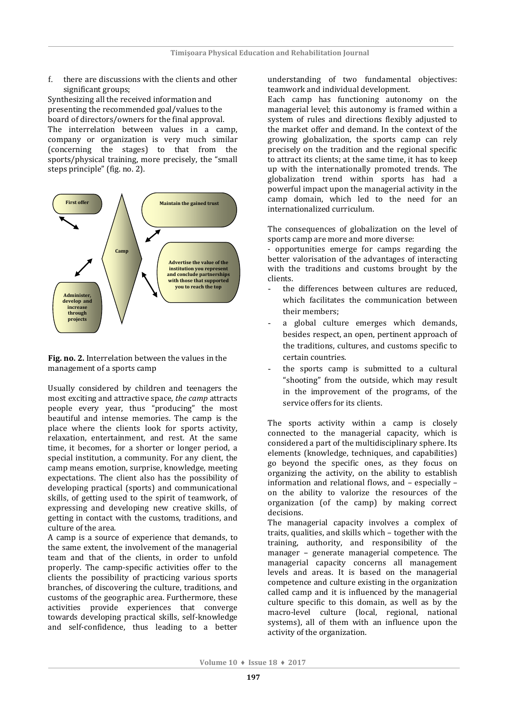f. there are discussions with the clients and other significant groups;

Synthesizing all the received information and presenting the recommended goal/values to the board of directors/owners for the final approval. The interrelation between values in a camp, company or organization is very much similar (concerning the stages) to that from the sports/physical training, more precisely, the "small steps principle" (fig. no. 2).



Fig. no. 2. Interrelation between the values in the management of a sports camp **obtained funds**

Usually considered by children and teenagers the most exciting and attractive space, *the camp* attracts people every year, thus "producing" the most beautiful and intense memories. The camp is the place where the clients look for sports activity, relaxation, entertainment, and rest. At the same time, it becomes, for a shorter or longer period, a special institution, a community. For any client, the camp means emotion, surprise, knowledge, meeting expectations. The client also has the possibility of developing practical (sports) and communicational skills, of getting used to the spirit of teamwork, of expressing and developing new creative skills, of getting in contact with the customs, traditions, and culture of the area.

A camp is a source of experience that demands, to the same extent, the involvement of the managerial team and that of the clients, in order to unfold properly. The camp-specific activities offer to the clients the possibility of practicing various sports branches, of discovering the culture, traditions, and customs of the geographic area. Furthermore, these activities provide experiences that converge towards developing practical skills, self-knowledge and self-confidence, thus leading to a better

understanding of two fundamental objectives: teamwork and individual development.

Each camp has functioning autonomy on the managerial level; this autonomy is framed within a system of rules and directions flexibly adjusted to the market offer and demand. In the context of the growing globalization, the sports camp can rely precisely on the tradition and the regional specific to attract its clients; at the same time, it has to keep up with the internationally promoted trends. The globalization trend within sports has had a powerful impact upon the managerial activity in the camp domain, which led to the need for an internationalized curriculum.

The consequences of globalization on the level of sports camp are more and more diverse:

- opportunities emerge for camps regarding the better valorisation of the advantages of interacting with the traditions and customs brought by the clients.

- the differences between cultures are reduced. which facilitates the communication between their members;
- a global culture emerges which demands, besides respect, an open, pertinent approach of the traditions, cultures, and customs specific to certain countries.
- the sports camp is submitted to a cultural "shooting" from the outside, which may result in the improvement of the programs, of the service offers for its clients.

The sports activity within a camp is closely connected to the managerial capacity, which is considered a part of the multidisciplinary sphere. Its elements (knowledge, techniques, and capabilities) go beyond the specific ones, as they focus on organizing the activity, on the ability to establish information and relational flows, and – especially – on the ability to valorize the resources of the organization (of the camp) by making correct decisions.

The managerial capacity involves a complex of traits, qualities, and skills which – together with the training, authority, and responsibility of the manager – generate managerial competence. The managerial capacity concerns all management levels and areas. It is based on the managerial competence and culture existing in the organization called camp and it is influenced by the managerial culture specific to this domain, as well as by the macro-level culture (local, regional, national systems), all of them with an influence upon the activity of the organization.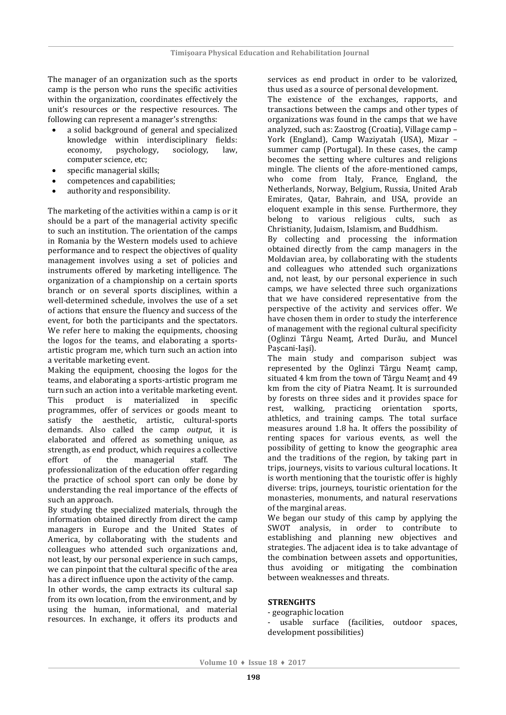The manager of an organization such as the sports camp is the person who runs the specific activities within the organization, coordinates effectively the unit's resources or the respective resources. The following can represent a manager's strengths:

- a solid background of general and specialized knowledge within interdisciplinary fields: economy, psychology, sociology, law, computer science, etc;
- specific managerial skills;
- competences and capabilities;
- authority and responsibility.

The marketing of the activities within a camp is or it should be a part of the managerial activity specific to such an institution. The orientation of the camps in Romania by the Western models used to achieve performance and to respect the objectives of quality management involves using a set of policies and instruments offered by marketing intelligence. The organization of a championship on a certain sports branch or on several sports disciplines, within a well-determined schedule, involves the use of a set of actions that ensure the fluency and success of the event, for both the participants and the spectators. We refer here to making the equipments, choosing the logos for the teams, and elaborating a sportsartistic program me, which turn such an action into a veritable marketing event.

Making the equipment, choosing the logos for the teams, and elaborating a sports-artistic program me turn such an action into a veritable marketing event. This product is materialized in specific programmes, offer of services or goods meant to satisfy the aesthetic, artistic, cultural-sports demands. Also called the camp *output*, it is elaborated and offered as something unique, as strength, as end product, which requires a collective effort of the managerial staff. The professionalization of the education offer regarding the practice of school sport can only be done by understanding the real importance of the effects of such an approach.

By studying the specialized materials, through the information obtained directly from direct the camp managers in Europe and the United States of America, by collaborating with the students and colleagues who attended such organizations and, not least, by our personal experience in such camps, we can pinpoint that the cultural specific of the area has a direct influence upon the activity of the camp. In other words, the camp extracts its cultural sap from its own location, from the environment, and by using the human, informational, and material resources. In exchange, it offers its products and

services as end product in order to be valorized, thus used as a source of personal development.

The existence of the exchanges, rapports, and transactions between the camps and other types of organizations was found in the camps that we have analyzed, such as: Zaostrog (Croatia), Village camp – York (England), Camp Waziyatah (USA), Mizar – summer camp (Portugal). In these cases, the camp becomes the setting where cultures and religions mingle. The clients of the afore-mentioned camps, who come from Italy, France, England, the Netherlands, Norway, Belgium, Russia, United Arab Emirates, Qatar, Bahrain, and USA, provide an eloquent example in this sense. Furthermore, they belong to various religious cults, such as Christianity, Judaism, Islamism, and Buddhism.

By collecting and processing the information obtained directly from the camp managers in the Moldavian area, by collaborating with the students and colleagues who attended such organizations and, not least, by our personal experience in such camps, we have selected three such organizations that we have considered representative from the perspective of the activity and services offer. We have chosen them in order to study the interference of management with the regional cultural specificity (Oglinzi Târgu Neamţ, Arted Durău, and Muncel Pașcani-Iaşi).

The main study and comparison subject was represented by the Oglinzi Târgu Neamt camp, situated 4 km from the town of Târgu Neamţ and 49 km from the city of Piatra Neamt. It is surrounded by forests on three sides and it provides space for rest, walking, practicing orientation sports, athletics, and training camps. The total surface measures around 1.8 ha. It offers the possibility of renting spaces for various events, as well the possibility of getting to know the geographic area and the traditions of the region, by taking part in trips, journeys, visits to various cultural locations. It is worth mentioning that the touristic offer is highly diverse: trips, journeys, touristic orientation for the monasteries, monuments, and natural reservations of the marginal areas.

We began our study of this camp by applying the SWOT analysis, in order to contribute to establishing and planning new objectives and strategies. The adjacent idea is to take advantage of the combination between assets and opportunities, thus avoiding or mitigating the combination between weaknesses and threats.

### **STRENGHTS**

- geographic location

- usable surface (facilities, outdoor spaces, development possibilities)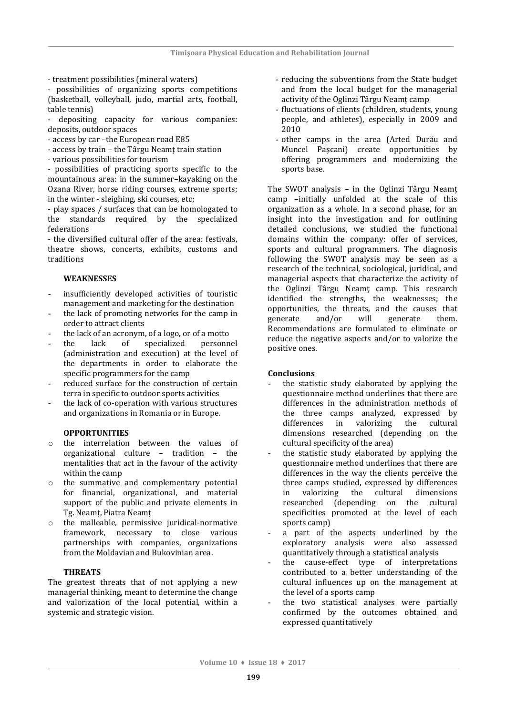- treatment possibilities (mineral waters)

- possibilities of organizing sports competitions (basketball, volleyball, judo, martial arts, football, table tennis)

- depositing capacity for various companies: deposits, outdoor spaces

- access by car –the European road E85
- access by train the Târgu Neamţ train station
- various possibilities for tourism

- possibilities of practicing sports specific to the mountainous area: in the summer–kayaking on the Ozana River, horse riding courses, extreme sports; in the winter - sleighing, ski courses, etc;

- play spaces / surfaces that can be homologated to the standards required by the specialized federations

- the diversified cultural offer of the area: festivals, theatre shows, concerts, exhibits, customs and traditions

### **WEAKNESSES**

- insufficiently developed activities of touristic management and marketing for the destination
- the lack of promoting networks for the camp in order to attract clients
- the lack of an acronym, of a logo, or of a motto
- the lack of specialized personnel (administration and execution) at the level of the departments in order to elaborate the specific programmers for the camp
- reduced surface for the construction of certain terra in specific to outdoor sports activities
- the lack of co-operation with various structures and organizations in Romania or in Europe.

### **OPPORTUNITIES**

- o the interrelation between the values of organizational culture – tradition – the mentalities that act in the favour of the activity within the camp
- the summative and complementary potential for financial, organizational, and material support of the public and private elements in Tg. Neamţ, Piatra Neamţ
- o the malleable, permissive juridical-normative framework, necessary to close various partnerships with companies, organizations from the Moldavian and Bukovinian area.

### **THREATS**

The greatest threats that of not applying a new managerial thinking, meant to determine the change and valorization of the local potential, within a systemic and strategic vision.

- reducing the subventions from the State budget and from the local budget for the managerial activity of the Oglinzi Târgu Neamţ camp
- fluctuations of clients (children, students, young people, and athletes), especially in 2009 and 2010
- other camps in the area (Arted Durău and Muncel Paşcani) create opportunities by offering programmers and modernizing the sports base.

The SWOT analysis – in the Oglinzi Târgu Neamţ camp –initially unfolded at the scale of this organization as a whole. In a second phase, for an insight into the investigation and for outlining detailed conclusions, we studied the functional domains within the company: offer of services, sports and cultural programmers. The diagnosis following the SWOT analysis may be seen as a research of the technical, sociological, juridical, and managerial aspects that characterize the activity of the Oglinzi Târgu Neamţ camp. This research identified the strengths, the weaknesses; the opportunities, the threats, and the causes that generate and/or will generate them. Recommendations are formulated to eliminate or reduce the negative aspects and/or to valorize the positive ones.

#### **Conclusions**

- the statistic study elaborated by applying the questionnaire method underlines that there are differences in the administration methods of the three camps analyzed, expressed by differences in valorizing the cultural dimensions researched (depending on the cultural specificity of the area)
- the statistic study elaborated by applying the questionnaire method underlines that there are differences in the way the clients perceive the three camps studied, expressed by differences in valorizing the cultural dimensions researched (depending on the cultural specificities promoted at the level of each sports camp)
- a part of the aspects underlined by the exploratory analysis were also assessed quantitatively through a statistical analysis
- the cause-effect type of interpretations contributed to a better understanding of the cultural influences up on the management at the level of a sports camp
- the two statistical analyses were partially confirmed by the outcomes obtained and expressed quantitatively